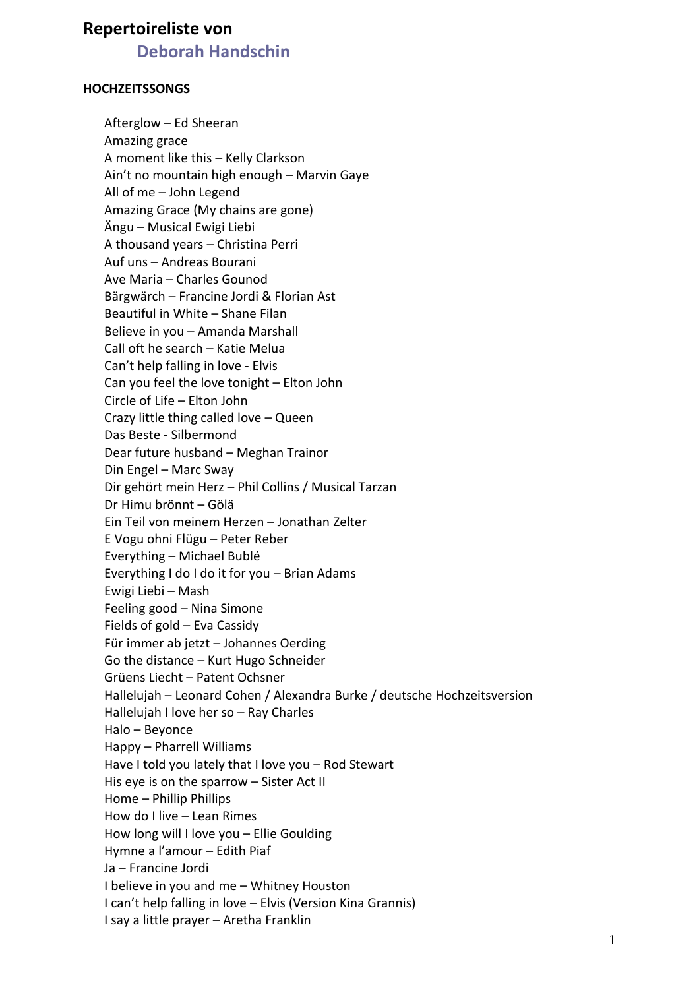## **Repertoireliste von**

## **Deborah Handschin**

## **HOCHZEITSSONGS**

Afterglow – Ed Sheeran Amazing grace A moment like this – Kelly Clarkson Ain't no mountain high enough – Marvin Gaye All of me – John Legend Amazing Grace (My chains are gone) Ängu – Musical Ewigi Liebi A thousand years – Christina Perri Auf uns – Andreas Bourani Ave Maria – Charles Gounod Bärgwärch – Francine Jordi & Florian Ast Beautiful in White – Shane Filan Believe in you – Amanda Marshall Call oft he search – Katie Melua Can't help falling in love - Elvis Can you feel the love tonight – Elton John Circle of Life – Elton John Crazy little thing called love – Queen Das Beste - Silbermond Dear future husband – Meghan Trainor Din Engel – Marc Sway Dir gehört mein Herz – Phil Collins / Musical Tarzan Dr Himu brönnt – Gölä Ein Teil von meinem Herzen – Jonathan Zelter E Vogu ohni Flügu – Peter Reber Everything – Michael Bublé Everything I do I do it for you – Brian Adams Ewigi Liebi – Mash Feeling good – Nina Simone Fields of gold – Eva Cassidy Für immer ab jetzt – Johannes Oerding Go the distance – Kurt Hugo Schneider Grüens Liecht – Patent Ochsner Hallelujah – Leonard Cohen / Alexandra Burke / deutsche Hochzeitsversion Hallelujah I love her so – Ray Charles Halo – Beyonce Happy – Pharrell Williams Have I told you lately that I love you – Rod Stewart His eye is on the sparrow – Sister Act II Home – Phillip Phillips How do I live – Lean Rimes How long will I love you – Ellie Goulding Hymne a l'amour – Edith Piaf Ja – Francine Jordi I believe in you and me – Whitney Houston I can't help falling in love – Elvis (Version Kina Grannis) I say a little prayer – Aretha Franklin